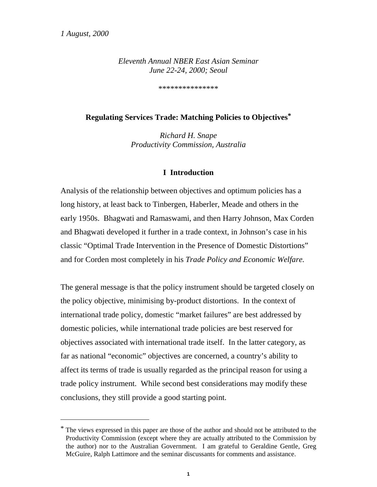$\overline{a}$ 

*Eleventh Annual NBER East Asian Seminar June 22-24, 2000; Seoul*

\*\*\*\*\*\*\*\*\*\*\*\*\*\*\*

## **Regulating Services Trade: Matching Policies to Objectives\***

*Richard H. Snape Productivity Commission, Australia*

# **I Introduction**

Analysis of the relationship between objectives and optimum policies has a long history, at least back to Tinbergen, Haberler, Meade and others in the early 1950s. Bhagwati and Ramaswami, and then Harry Johnson, Max Corden and Bhagwati developed it further in a trade context, in Johnson's case in his classic "Optimal Trade Intervention in the Presence of Domestic Distortions" and for Corden most completely in his *Trade Policy and Economic Welfare.*

The general message is that the policy instrument should be targeted closely on the policy objective, minimising by-product distortions. In the context of international trade policy, domestic "market failures" are best addressed by domestic policies, while international trade policies are best reserved for objectives associated with international trade itself. In the latter category, as far as national "economic" objectives are concerned, a country's ability to affect its terms of trade is usually regarded as the principal reason for using a trade policy instrument. While second best considerations may modify these conclusions, they still provide a good starting point.

The views expressed in this paper are those of the author and should not be attributed to the Productivity Commission (except where they are actually attributed to the Commission by the author) nor to the Australian Government. I am grateful to Geraldine Gentle, Greg McGuire, Ralph Lattimore and the seminar discussants for comments and assistance.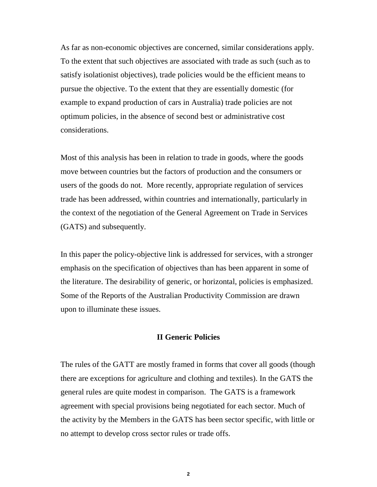As far as non-economic objectives are concerned, similar considerations apply. To the extent that such objectives are associated with trade as such (such as to satisfy isolationist objectives), trade policies would be the efficient means to pursue the objective. To the extent that they are essentially domestic (for example to expand production of cars in Australia) trade policies are not optimum policies, in the absence of second best or administrative cost considerations.

Most of this analysis has been in relation to trade in goods, where the goods move between countries but the factors of production and the consumers or users of the goods do not. More recently, appropriate regulation of services trade has been addressed, within countries and internationally, particularly in the context of the negotiation of the General Agreement on Trade in Services (GATS) and subsequently.

In this paper the policy-objective link is addressed for services, with a stronger emphasis on the specification of objectives than has been apparent in some of the literature. The desirability of generic, or horizontal, policies is emphasized. Some of the Reports of the Australian Productivity Commission are drawn upon to illuminate these issues.

### **II Generic Policies**

The rules of the GATT are mostly framed in forms that cover all goods (though there are exceptions for agriculture and clothing and textiles). In the GATS the general rules are quite modest in comparison. The GATS is a framework agreement with special provisions being negotiated for each sector. Much of the activity by the Members in the GATS has been sector specific, with little or no attempt to develop cross sector rules or trade offs.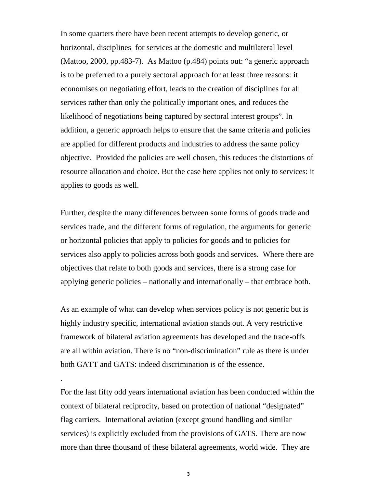In some quarters there have been recent attempts to develop generic, or horizontal, disciplines for services at the domestic and multilateral level (Mattoo, 2000, pp.483-7). As Mattoo (p.484) points out: "a generic approach is to be preferred to a purely sectoral approach for at least three reasons: it economises on negotiating effort, leads to the creation of disciplines for all services rather than only the politically important ones, and reduces the likelihood of negotiations being captured by sectoral interest groups". In addition, a generic approach helps to ensure that the same criteria and policies are applied for different products and industries to address the same policy objective. Provided the policies are well chosen, this reduces the distortions of resource allocation and choice. But the case here applies not only to services: it applies to goods as well.

Further, despite the many differences between some forms of goods trade and services trade, and the different forms of regulation, the arguments for generic or horizontal policies that apply to policies for goods and to policies for services also apply to policies across both goods and services. Where there are objectives that relate to both goods and services, there is a strong case for applying generic policies – nationally and internationally – that embrace both.

As an example of what can develop when services policy is not generic but is highly industry specific, international aviation stands out. A very restrictive framework of bilateral aviation agreements has developed and the trade-offs are all within aviation. There is no "non-discrimination" rule as there is under both GATT and GATS: indeed discrimination is of the essence.

.

For the last fifty odd years international aviation has been conducted within the context of bilateral reciprocity, based on protection of national "designated" flag carriers. International aviation (except ground handling and similar services) is explicitly excluded from the provisions of GATS. There are now more than three thousand of these bilateral agreements, world wide. They are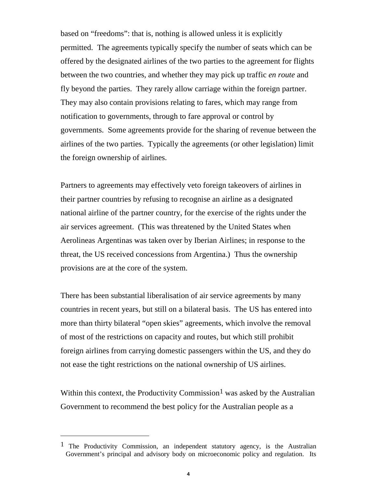based on "freedoms": that is, nothing is allowed unless it is explicitly permitted. The agreements typically specify the number of seats which can be offered by the designated airlines of the two parties to the agreement for flights between the two countries, and whether they may pick up traffic *en route* and fly beyond the parties. They rarely allow carriage within the foreign partner. They may also contain provisions relating to fares, which may range from notification to governments, through to fare approval or control by governments. Some agreements provide for the sharing of revenue between the airlines of the two parties. Typically the agreements (or other legislation) limit the foreign ownership of airlines.

Partners to agreements may effectively veto foreign takeovers of airlines in their partner countries by refusing to recognise an airline as a designated national airline of the partner country, for the exercise of the rights under the air services agreement. (This was threatened by the United States when Aerolineas Argentinas was taken over by Iberian Airlines; in response to the threat, the US received concessions from Argentina.) Thus the ownership provisions are at the core of the system.

There has been substantial liberalisation of air service agreements by many countries in recent years, but still on a bilateral basis. The US has entered into more than thirty bilateral "open skies" agreements, which involve the removal of most of the restrictions on capacity and routes, but which still prohibit foreign airlines from carrying domestic passengers within the US, and they do not ease the tight restrictions on the national ownership of US airlines.

Within this context, the Productivity Commission<sup>1</sup> was asked by the Australian Government to recommend the best policy for the Australian people as a

 $\overline{a}$ 

<sup>&</sup>lt;sup>1</sup> The Productivity Commission, an independent statutory agency, is the Australian Government's principal and advisory body on microeconomic policy and regulation. Its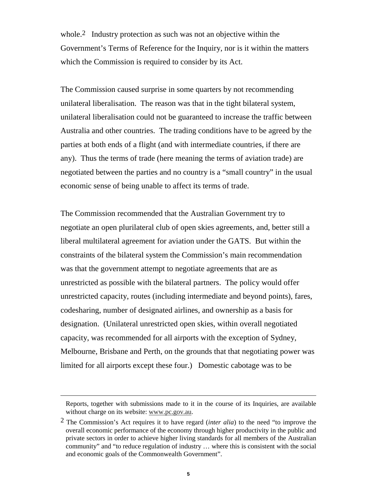whole.<sup>2</sup> Industry protection as such was not an objective within the Government's Terms of Reference for the Inquiry, nor is it within the matters which the Commission is required to consider by its Act.

The Commission caused surprise in some quarters by not recommending unilateral liberalisation. The reason was that in the tight bilateral system, unilateral liberalisation could not be guaranteed to increase the traffic between Australia and other countries. The trading conditions have to be agreed by the parties at both ends of a flight (and with intermediate countries, if there are any). Thus the terms of trade (here meaning the terms of aviation trade) are negotiated between the parties and no country is a "small country" in the usual economic sense of being unable to affect its terms of trade.

The Commission recommended that the Australian Government try to negotiate an open plurilateral club of open skies agreements, and, better still a liberal multilateral agreement for aviation under the GATS. But within the constraints of the bilateral system the Commission's main recommendation was that the government attempt to negotiate agreements that are as unrestricted as possible with the bilateral partners. The policy would offer unrestricted capacity, routes (including intermediate and beyond points), fares, codesharing, number of designated airlines, and ownership as a basis for designation. (Unilateral unrestricted open skies, within overall negotiated capacity, was recommended for all airports with the exception of Sydney, Melbourne, Brisbane and Perth, on the grounds that that negotiating power was limited for all airports except these four.) Domestic cabotage was to be

 $\overline{a}$ 

Reports, together with submissions made to it in the course of its Inquiries, are available without charge on its website: www.pc.gov.au.

<sup>2</sup> The Commission's Act requires it to have regard (*inter alia*) to the need "to improve the overall economic performance of the economy through higher productivity in the public and private sectors in order to achieve higher living standards for all members of the Australian community" and "to reduce regulation of industry … where this is consistent with the social and economic goals of the Commonwealth Government".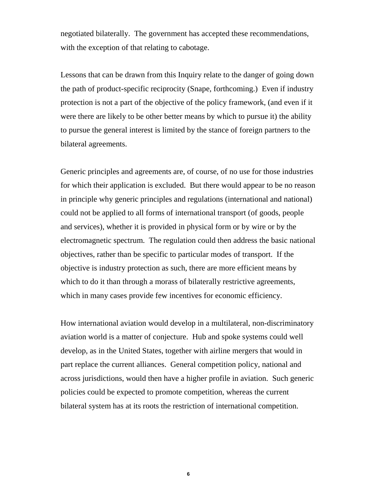negotiated bilaterally. The government has accepted these recommendations, with the exception of that relating to cabotage.

Lessons that can be drawn from this Inquiry relate to the danger of going down the path of product-specific reciprocity (Snape, forthcoming.) Even if industry protection is not a part of the objective of the policy framework, (and even if it were there are likely to be other better means by which to pursue it) the ability to pursue the general interest is limited by the stance of foreign partners to the bilateral agreements.

Generic principles and agreements are, of course, of no use for those industries for which their application is excluded. But there would appear to be no reason in principle why generic principles and regulations (international and national) could not be applied to all forms of international transport (of goods, people and services), whether it is provided in physical form or by wire or by the electromagnetic spectrum. The regulation could then address the basic national objectives, rather than be specific to particular modes of transport. If the objective is industry protection as such, there are more efficient means by which to do it than through a morass of bilaterally restrictive agreements, which in many cases provide few incentives for economic efficiency.

How international aviation would develop in a multilateral, non-discriminatory aviation world is a matter of conjecture. Hub and spoke systems could well develop, as in the United States, together with airline mergers that would in part replace the current alliances. General competition policy, national and across jurisdictions, would then have a higher profile in aviation. Such generic policies could be expected to promote competition, whereas the current bilateral system has at its roots the restriction of international competition.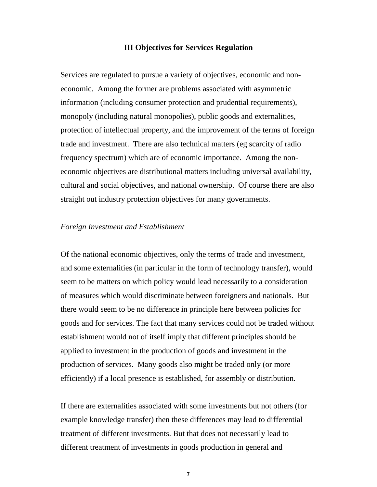#### **III Objectives for Services Regulation**

Services are regulated to pursue a variety of objectives, economic and noneconomic. Among the former are problems associated with asymmetric information (including consumer protection and prudential requirements), monopoly (including natural monopolies), public goods and externalities, protection of intellectual property, and the improvement of the terms of foreign trade and investment. There are also technical matters (eg scarcity of radio frequency spectrum) which are of economic importance. Among the noneconomic objectives are distributional matters including universal availability, cultural and social objectives, and national ownership. Of course there are also straight out industry protection objectives for many governments.

## *Foreign Investment and Establishment*

Of the national economic objectives, only the terms of trade and investment, and some externalities (in particular in the form of technology transfer), would seem to be matters on which policy would lead necessarily to a consideration of measures which would discriminate between foreigners and nationals. But there would seem to be no difference in principle here between policies for goods and for services. The fact that many services could not be traded without establishment would not of itself imply that different principles should be applied to investment in the production of goods and investment in the production of services. Many goods also might be traded only (or more efficiently) if a local presence is established, for assembly or distribution.

If there are externalities associated with some investments but not others (for example knowledge transfer) then these differences may lead to differential treatment of different investments. But that does not necessarily lead to different treatment of investments in goods production in general and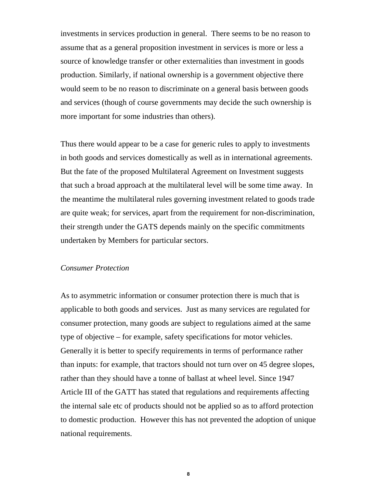investments in services production in general. There seems to be no reason to assume that as a general proposition investment in services is more or less a source of knowledge transfer or other externalities than investment in goods production. Similarly, if national ownership is a government objective there would seem to be no reason to discriminate on a general basis between goods and services (though of course governments may decide the such ownership is more important for some industries than others).

Thus there would appear to be a case for generic rules to apply to investments in both goods and services domestically as well as in international agreements. But the fate of the proposed Multilateral Agreement on Investment suggests that such a broad approach at the multilateral level will be some time away. In the meantime the multilateral rules governing investment related to goods trade are quite weak; for services, apart from the requirement for non-discrimination, their strength under the GATS depends mainly on the specific commitments undertaken by Members for particular sectors.

## *Consumer Protection*

As to asymmetric information or consumer protection there is much that is applicable to both goods and services. Just as many services are regulated for consumer protection, many goods are subject to regulations aimed at the same type of objective – for example, safety specifications for motor vehicles. Generally it is better to specify requirements in terms of performance rather than inputs: for example, that tractors should not turn over on 45 degree slopes, rather than they should have a tonne of ballast at wheel level. Since 1947 Article III of the GATT has stated that regulations and requirements affecting the internal sale etc of products should not be applied so as to afford protection to domestic production. However this has not prevented the adoption of unique national requirements.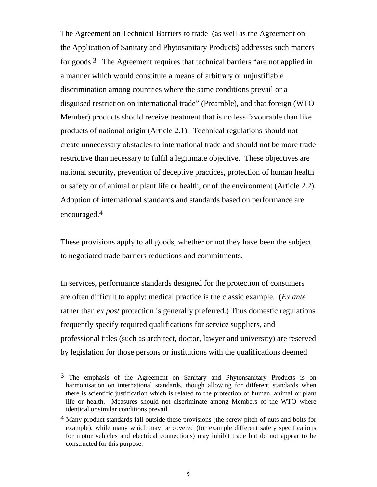The Agreement on Technical Barriers to trade (as well as the Agreement on the Application of Sanitary and Phytosanitary Products) addresses such matters for goods.3 The Agreement requires that technical barriers "are not applied in a manner which would constitute a means of arbitrary or unjustifiable discrimination among countries where the same conditions prevail or a disguised restriction on international trade" (Preamble), and that foreign (WTO Member) products should receive treatment that is no less favourable than like products of national origin (Article 2.1). Technical regulations should not create unnecessary obstacles to international trade and should not be more trade restrictive than necessary to fulfil a legitimate objective. These objectives are national security, prevention of deceptive practices, protection of human health or safety or of animal or plant life or health, or of the environment (Article 2.2). Adoption of international standards and standards based on performance are encouraged.4

These provisions apply to all goods, whether or not they have been the subject to negotiated trade barriers reductions and commitments.

In services, performance standards designed for the protection of consumers are often difficult to apply: medical practice is the classic example. (*Ex ante* rather than *ex post* protection is generally preferred.) Thus domestic regulations frequently specify required qualifications for service suppliers, and professional titles (such as architect, doctor, lawyer and university) are reserved by legislation for those persons or institutions with the qualifications deemed

 $\overline{a}$ 

<sup>&</sup>lt;sup>3</sup> The emphasis of the Agreement on Sanitary and Phytonsanitary Products is on harmonisation on international standards, though allowing for different standards when there is scientific justification which is related to the protection of human, animal or plant life or health. Measures should not discriminate among Members of the WTO where identical or similar conditions prevail.

<sup>4</sup> Many product standards fall outside these provisions (the screw pitch of nuts and bolts for example), while many which may be covered (for example different safety specifications for motor vehicles and electrical connections) may inhibit trade but do not appear to be constructed for this purpose.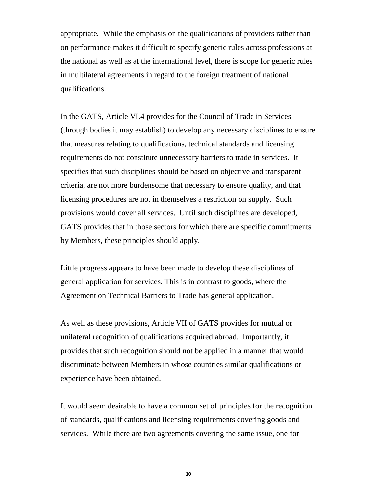appropriate. While the emphasis on the qualifications of providers rather than on performance makes it difficult to specify generic rules across professions at the national as well as at the international level, there is scope for generic rules in multilateral agreements in regard to the foreign treatment of national qualifications.

In the GATS, Article VI.4 provides for the Council of Trade in Services (through bodies it may establish) to develop any necessary disciplines to ensure that measures relating to qualifications, technical standards and licensing requirements do not constitute unnecessary barriers to trade in services. It specifies that such disciplines should be based on objective and transparent criteria, are not more burdensome that necessary to ensure quality, and that licensing procedures are not in themselves a restriction on supply. Such provisions would cover all services. Until such disciplines are developed, GATS provides that in those sectors for which there are specific commitments by Members, these principles should apply.

Little progress appears to have been made to develop these disciplines of general application for services. This is in contrast to goods, where the Agreement on Technical Barriers to Trade has general application.

As well as these provisions, Article VII of GATS provides for mutual or unilateral recognition of qualifications acquired abroad. Importantly, it provides that such recognition should not be applied in a manner that would discriminate between Members in whose countries similar qualifications or experience have been obtained.

It would seem desirable to have a common set of principles for the recognition of standards, qualifications and licensing requirements covering goods and services. While there are two agreements covering the same issue, one for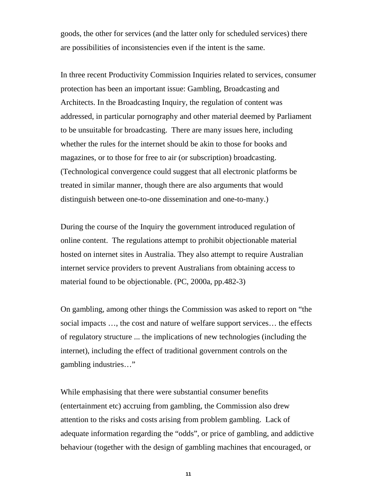goods, the other for services (and the latter only for scheduled services) there are possibilities of inconsistencies even if the intent is the same.

In three recent Productivity Commission Inquiries related to services, consumer protection has been an important issue: Gambling, Broadcasting and Architects. In the Broadcasting Inquiry, the regulation of content was addressed, in particular pornography and other material deemed by Parliament to be unsuitable for broadcasting. There are many issues here, including whether the rules for the internet should be akin to those for books and magazines, or to those for free to air (or subscription) broadcasting. (Technological convergence could suggest that all electronic platforms be treated in similar manner, though there are also arguments that would distinguish between one-to-one dissemination and one-to-many.)

During the course of the Inquiry the government introduced regulation of online content. The regulations attempt to prohibit objectionable material hosted on internet sites in Australia. They also attempt to require Australian internet service providers to prevent Australians from obtaining access to material found to be objectionable. (PC, 2000a, pp.482-3)

On gambling, among other things the Commission was asked to report on "the social impacts …, the cost and nature of welfare support services… the effects of regulatory structure ... the implications of new technologies (including the internet), including the effect of traditional government controls on the gambling industries…"

While emphasising that there were substantial consumer benefits (entertainment etc) accruing from gambling, the Commission also drew attention to the risks and costs arising from problem gambling. Lack of adequate information regarding the "odds", or price of gambling, and addictive behaviour (together with the design of gambling machines that encouraged, or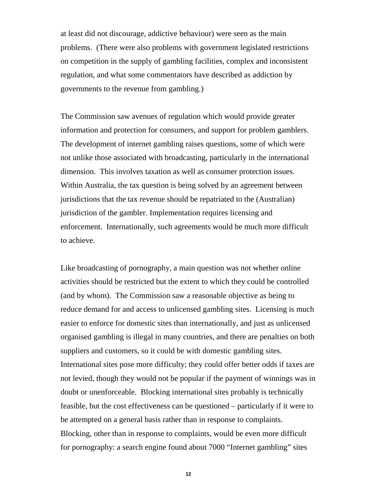at least did not discourage, addictive behaviour) were seen as the main problems. (There were also problems with government legislated restrictions on competition in the supply of gambling facilities, complex and inconsistent regulation, and what some commentators have described as addiction by governments to the revenue from gambling.)

The Commission saw avenues of regulation which would provide greater information and protection for consumers, and support for problem gamblers. The development of internet gambling raises questions, some of which were not unlike those associated with broadcasting, particularly in the international dimension. This involves taxation as well as consumer protection issues. Within Australia, the tax question is being solved by an agreement between jurisdictions that the tax revenue should be repatriated to the (Australian) jurisdiction of the gambler. Implementation requires licensing and enforcement. Internationally, such agreements would be much more difficult to achieve.

Like broadcasting of pornography, a main question was not whether online activities should be restricted but the extent to which they could be controlled (and by whom). The Commission saw a reasonable objective as being to reduce demand for and access to unlicensed gambling sites. Licensing is much easier to enforce for domestic sites than internationally, and just as unlicensed organised gambling is illegal in many countries, and there are penalties on both suppliers and customers, so it could be with domestic gambling sites. International sites pose more difficulty; they could offer better odds if taxes are not levied, though they would not be popular if the payment of winnings was in doubt or unenforceable. Blocking international sites probably is technically feasible, but the cost effectiveness can be questioned – particularly if it were to be attempted on a general basis rather than in response to complaints. Blocking, other than in response to complaints, would be even more difficult for pornography: a search engine found about 7000 "Internet gambling" sites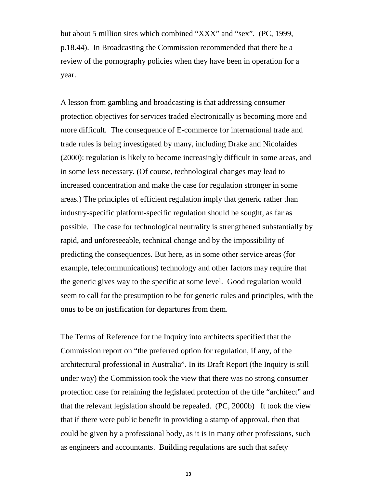but about 5 million sites which combined "XXX" and "sex". (PC, 1999, p.18.44). In Broadcasting the Commission recommended that there be a review of the pornography policies when they have been in operation for a year.

A lesson from gambling and broadcasting is that addressing consumer protection objectives for services traded electronically is becoming more and more difficult. The consequence of E-commerce for international trade and trade rules is being investigated by many, including Drake and Nicolaides (2000): regulation is likely to become increasingly difficult in some areas, and in some less necessary. (Of course, technological changes may lead to increased concentration and make the case for regulation stronger in some areas.) The principles of efficient regulation imply that generic rather than industry-specific platform-specific regulation should be sought, as far as possible. The case for technological neutrality is strengthened substantially by rapid, and unforeseeable, technical change and by the impossibility of predicting the consequences. But here, as in some other service areas (for example, telecommunications) technology and other factors may require that the generic gives way to the specific at some level. Good regulation would seem to call for the presumption to be for generic rules and principles, with the onus to be on justification for departures from them.

The Terms of Reference for the Inquiry into architects specified that the Commission report on "the preferred option for regulation, if any, of the architectural professional in Australia". In its Draft Report (the Inquiry is still under way) the Commission took the view that there was no strong consumer protection case for retaining the legislated protection of the title "architect" and that the relevant legislation should be repealed. (PC, 2000b) It took the view that if there were public benefit in providing a stamp of approval, then that could be given by a professional body, as it is in many other professions, such as engineers and accountants. Building regulations are such that safety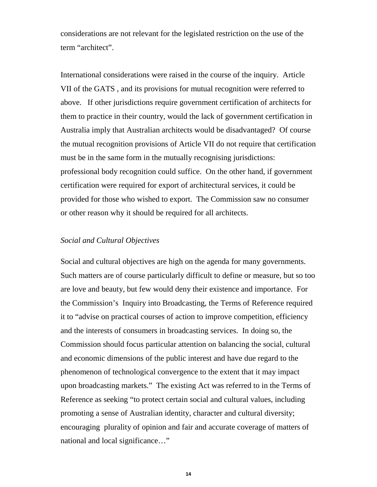considerations are not relevant for the legislated restriction on the use of the term "architect".

International considerations were raised in the course of the inquiry. Article VII of the GATS , and its provisions for mutual recognition were referred to above. If other jurisdictions require government certification of architects for them to practice in their country, would the lack of government certification in Australia imply that Australian architects would be disadvantaged? Of course the mutual recognition provisions of Article VII do not require that certification must be in the same form in the mutually recognising jurisdictions: professional body recognition could suffice. On the other hand, if government certification were required for export of architectural services, it could be provided for those who wished to export. The Commission saw no consumer or other reason why it should be required for all architects.

### *Social and Cultural Objectives*

Social and cultural objectives are high on the agenda for many governments. Such matters are of course particularly difficult to define or measure, but so too are love and beauty, but few would deny their existence and importance. For the Commission's Inquiry into Broadcasting, the Terms of Reference required it to "advise on practical courses of action to improve competition, efficiency and the interests of consumers in broadcasting services. In doing so, the Commission should focus particular attention on balancing the social, cultural and economic dimensions of the public interest and have due regard to the phenomenon of technological convergence to the extent that it may impact upon broadcasting markets." The existing Act was referred to in the Terms of Reference as seeking "to protect certain social and cultural values, including promoting a sense of Australian identity, character and cultural diversity; encouraging plurality of opinion and fair and accurate coverage of matters of national and local significance…"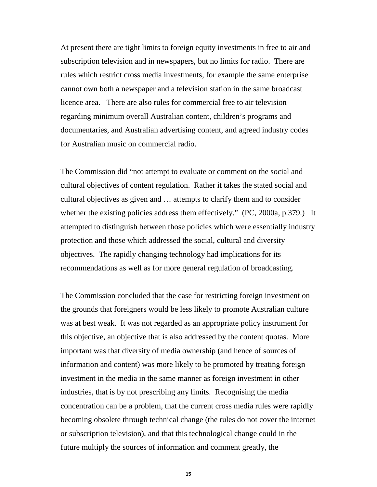At present there are tight limits to foreign equity investments in free to air and subscription television and in newspapers, but no limits for radio. There are rules which restrict cross media investments, for example the same enterprise cannot own both a newspaper and a television station in the same broadcast licence area. There are also rules for commercial free to air television regarding minimum overall Australian content, children's programs and documentaries, and Australian advertising content, and agreed industry codes for Australian music on commercial radio.

The Commission did "not attempt to evaluate or comment on the social and cultural objectives of content regulation. Rather it takes the stated social and cultural objectives as given and … attempts to clarify them and to consider whether the existing policies address them effectively." (PC, 2000a, p.379.) It attempted to distinguish between those policies which were essentially industry protection and those which addressed the social, cultural and diversity objectives. The rapidly changing technology had implications for its recommendations as well as for more general regulation of broadcasting.

The Commission concluded that the case for restricting foreign investment on the grounds that foreigners would be less likely to promote Australian culture was at best weak. It was not regarded as an appropriate policy instrument for this objective, an objective that is also addressed by the content quotas. More important was that diversity of media ownership (and hence of sources of information and content) was more likely to be promoted by treating foreign investment in the media in the same manner as foreign investment in other industries, that is by not prescribing any limits. Recognising the media concentration can be a problem, that the current cross media rules were rapidly becoming obsolete through technical change (the rules do not cover the internet or subscription television), and that this technological change could in the future multiply the sources of information and comment greatly, the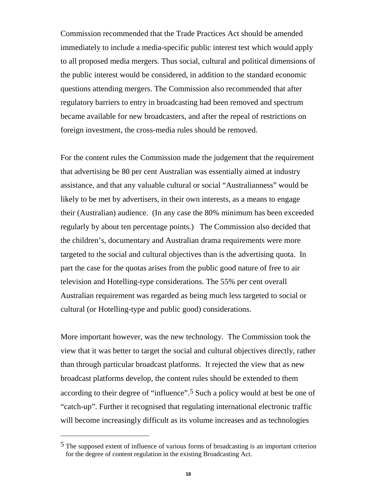Commission recommended that the Trade Practices Act should be amended immediately to include a media-specific public interest test which would apply to all proposed media mergers. Thus social, cultural and political dimensions of the public interest would be considered, in addition to the standard economic questions attending mergers. The Commission also recommended that after regulatory barriers to entry in broadcasting had been removed and spectrum became available for new broadcasters, and after the repeal of restrictions on foreign investment, the cross-media rules should be removed.

For the content rules the Commission made the judgement that the requirement that advertising be 80 per cent Australian was essentially aimed at industry assistance, and that any valuable cultural or social "Australianness" would be likely to be met by advertisers, in their own interests, as a means to engage their (Australian) audience. (In any case the 80% minimum has been exceeded regularly by about ten percentage points.) The Commission also decided that the children's, documentary and Australian drama requirements were more targeted to the social and cultural objectives than is the advertising quota. In part the case for the quotas arises from the public good nature of free to air television and Hotelling-type considerations. The 55% per cent overall Australian requirement was regarded as being much less targeted to social or cultural (or Hotelling-type and public good) considerations.

More important however, was the new technology. The Commission took the view that it was better to target the social and cultural objectives directly, rather than through particular broadcast platforms. It rejected the view that as new broadcast platforms develop, the content rules should be extended to them according to their degree of "influence".5 Such a policy would at best be one of "catch-up". Further it recognised that regulating international electronic traffic will become increasingly difficult as its volume increases and as technologies

 $\overline{a}$ 

<sup>5</sup> The supposed extent of influence of various forms of broadcasting is an important criterion for the degree of content regulation in the existing Broadcasting Act.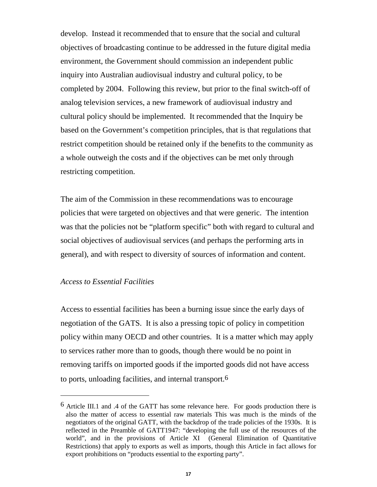develop. Instead it recommended that to ensure that the social and cultural objectives of broadcasting continue to be addressed in the future digital media environment, the Government should commission an independent public inquiry into Australian audiovisual industry and cultural policy, to be completed by 2004. Following this review, but prior to the final switch-off of analog television services, a new framework of audiovisual industry and cultural policy should be implemented. It recommended that the Inquiry be based on the Government's competition principles, that is that regulations that restrict competition should be retained only if the benefits to the community as a whole outweigh the costs and if the objectives can be met only through restricting competition.

The aim of the Commission in these recommendations was to encourage policies that were targeted on objectives and that were generic. The intention was that the policies not be "platform specific" both with regard to cultural and social objectives of audiovisual services (and perhaps the performing arts in general), and with respect to diversity of sources of information and content.

## *Access to Essential Facilities*

 $\overline{a}$ 

Access to essential facilities has been a burning issue since the early days of negotiation of the GATS. It is also a pressing topic of policy in competition policy within many OECD and other countries. It is a matter which may apply to services rather more than to goods, though there would be no point in removing tariffs on imported goods if the imported goods did not have access to ports, unloading facilities, and internal transport.6

<sup>6</sup> Article III.1 and .4 of the GATT has some relevance here. For goods production there is also the matter of access to essential raw materials This was much is the minds of the negotiators of the original GATT, with the backdrop of the trade policies of the 1930s. It is reflected in the Preamble of GATT1947: "developing the full use of the resources of the world", and in the provisions of Article XI (General Elimination of Quantitative Restrictions) that apply to exports as well as imports, though this Article in fact allows for export prohibitions on "products essential to the exporting party".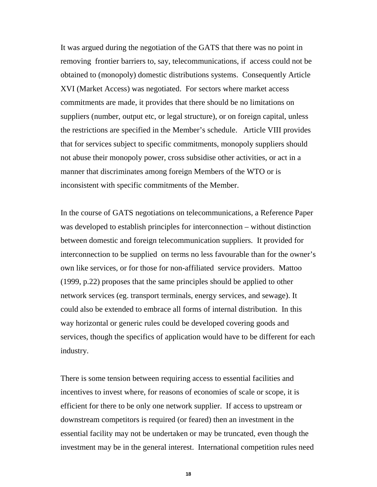It was argued during the negotiation of the GATS that there was no point in removing frontier barriers to, say, telecommunications, if access could not be obtained to (monopoly) domestic distributions systems. Consequently Article XVI (Market Access) was negotiated. For sectors where market access commitments are made, it provides that there should be no limitations on suppliers (number, output etc, or legal structure), or on foreign capital, unless the restrictions are specified in the Member's schedule. Article VIII provides that for services subject to specific commitments, monopoly suppliers should not abuse their monopoly power, cross subsidise other activities, or act in a manner that discriminates among foreign Members of the WTO or is inconsistent with specific commitments of the Member.

In the course of GATS negotiations on telecommunications, a Reference Paper was developed to establish principles for interconnection – without distinction between domestic and foreign telecommunication suppliers. It provided for interconnection to be supplied on terms no less favourable than for the owner's own like services, or for those for non-affiliated service providers. Mattoo (1999, p.22) proposes that the same principles should be applied to other network services (eg. transport terminals, energy services, and sewage). It could also be extended to embrace all forms of internal distribution. In this way horizontal or generic rules could be developed covering goods and services, though the specifics of application would have to be different for each industry.

There is some tension between requiring access to essential facilities and incentives to invest where, for reasons of economies of scale or scope, it is efficient for there to be only one network supplier. If access to upstream or downstream competitors is required (or feared) then an investment in the essential facility may not be undertaken or may be truncated, even though the investment may be in the general interest. International competition rules need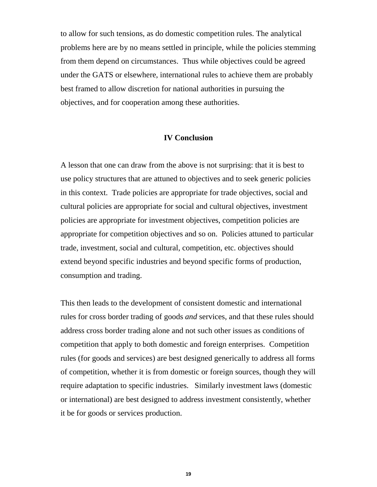to allow for such tensions, as do domestic competition rules. The analytical problems here are by no means settled in principle, while the policies stemming from them depend on circumstances. Thus while objectives could be agreed under the GATS or elsewhere, international rules to achieve them are probably best framed to allow discretion for national authorities in pursuing the objectives, and for cooperation among these authorities.

#### **IV Conclusion**

A lesson that one can draw from the above is not surprising: that it is best to use policy structures that are attuned to objectives and to seek generic policies in this context. Trade policies are appropriate for trade objectives, social and cultural policies are appropriate for social and cultural objectives, investment policies are appropriate for investment objectives, competition policies are appropriate for competition objectives and so on. Policies attuned to particular trade, investment, social and cultural, competition, etc. objectives should extend beyond specific industries and beyond specific forms of production, consumption and trading.

This then leads to the development of consistent domestic and international rules for cross border trading of goods *and* services, and that these rules should address cross border trading alone and not such other issues as conditions of competition that apply to both domestic and foreign enterprises. Competition rules (for goods and services) are best designed generically to address all forms of competition, whether it is from domestic or foreign sources, though they will require adaptation to specific industries. Similarly investment laws (domestic or international) are best designed to address investment consistently, whether it be for goods or services production.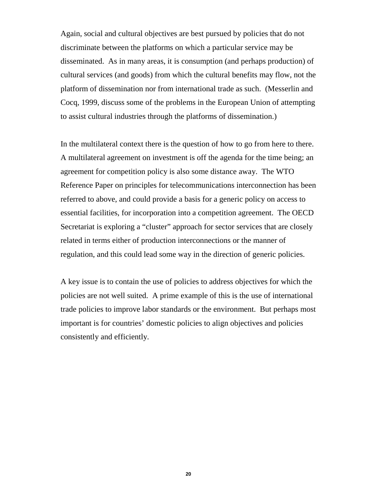Again, social and cultural objectives are best pursued by policies that do not discriminate between the platforms on which a particular service may be disseminated. As in many areas, it is consumption (and perhaps production) of cultural services (and goods) from which the cultural benefits may flow, not the platform of dissemination nor from international trade as such. (Messerlin and Cocq, 1999, discuss some of the problems in the European Union of attempting to assist cultural industries through the platforms of dissemination.)

In the multilateral context there is the question of how to go from here to there. A multilateral agreement on investment is off the agenda for the time being; an agreement for competition policy is also some distance away. The WTO Reference Paper on principles for telecommunications interconnection has been referred to above, and could provide a basis for a generic policy on access to essential facilities, for incorporation into a competition agreement. The OECD Secretariat is exploring a "cluster" approach for sector services that are closely related in terms either of production interconnections or the manner of regulation, and this could lead some way in the direction of generic policies.

A key issue is to contain the use of policies to address objectives for which the policies are not well suited. A prime example of this is the use of international trade policies to improve labor standards or the environment. But perhaps most important is for countries' domestic policies to align objectives and policies consistently and efficiently.